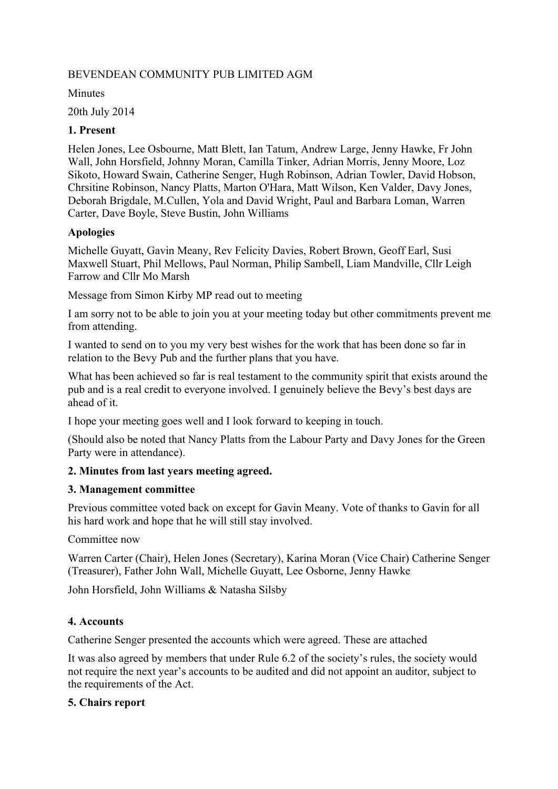### BEVENDEAN COMMUNITY PUB LIMITED AGM

**Minutes** 

20th July 2014

### **1. Present**

Helen Jones, Lee Osbourne, Matt Blett, Ian Tatum, Andrew Large, Jenny Hawke, Fr John Wall, John Horsfield, Johnny Moran, Camilla Tinker, Adrian Morris, Jenny Moore, Loz Sikoto, Howard Swain, Catherine Senger, Hugh Robinson, Adrian Towler, David Hobson, Chrsitine Robinson, Nancy Platts, Marton O'Hara, Matt Wilson, Ken Valder, Davy Jones, Deborah Brigdale, M.Cullen, Yola and David Wright, Paul and Barbara Loman, Warren Carter, Dave Boyle, Steve Bustin, John Williams

#### **Apologies**

Michelle Guyatt, Gavin Meany, Rev Felicity Davies, Robert Brown, Geoff Earl, Susi Maxwell Stuart, Phil Mellows, Paul Norman, Philip Sambell, Liam Mandville, Cllr Leigh Farrow and Cllr Mo Marsh

Message from Simon Kirby MP read out to meeting

I am sorry not to be able to join you at your meeting today but other commitments prevent me from attending.

I wanted to send on to you my very best wishes for the work that has been done so far in relation to the Bevy Pub and the further plans that you have.

What has been achieved so far is real testament to the community spirit that exists around the pub and is a real credit to everyone involved. I genuinely believe the Bevy's best days are ahead of it.

I hope your meeting goes well and I look forward to keeping in touch.

(Should also be noted that Nancy Platts from the Labour Party and Davy Jones for the Green Party were in attendance).

# **2. Minutes from last years meeting agreed.**

#### **3. Management committee**

Previous committee voted back on except for Gavin Meany. Vote of thanks to Gavin for all his hard work and hope that he will still stay involved.

Committee now

Warren Carter (Chair), Helen Jones (Secretary), Karina Moran (Vice Chair) Catherine Senger (Treasurer), Father John Wall, Michelle Guyatt, Lee Osborne, Jenny Hawke

John Horsfield, John Williams & Natasha Silsby

# **4. Accounts**

Catherine Senger presented the accounts which were agreed. These are attached

It was also agreed by members that under Rule 6.2 of the society's rules, the society would not require the next year's accounts to be audited and did not appoint an auditor, subject to the requirements of the Act.

#### **5. Chairs report**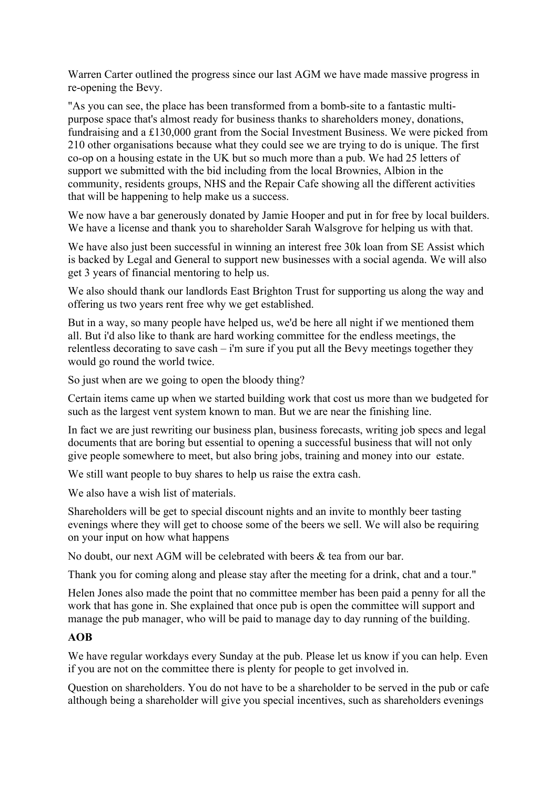Warren Carter outlined the progress since our last AGM we have made massive progress in re-opening the Bevy.

"As you can see, the place has been transformed from a bomb-site to a fantastic multipurpose space that's almost ready for business thanks to shareholders money, donations, fundraising and a £130,000 grant from the Social Investment Business. We were picked from 210 other organisations because what they could see we are trying to do is unique. The first co-op on a housing estate in the UK but so much more than a pub. We had 25 letters of support we submitted with the bid including from the local Brownies, Albion in the community, residents groups, NHS and the Repair Cafe showing all the different activities that will be happening to help make us a success.

We now have a bar generously donated by Jamie Hooper and put in for free by local builders. We have a license and thank you to shareholder Sarah Walsgrove for helping us with that.

We have also just been successful in winning an interest free 30k loan from SE Assist which is backed by Legal and General to support new businesses with a social agenda. We will also get 3 years of financial mentoring to help us.

We also should thank our landlords East Brighton Trust for supporting us along the way and offering us two years rent free why we get established.

But in a way, so many people have helped us, we'd be here all night if we mentioned them all. But i'd also like to thank are hard working committee for the endless meetings, the relentless decorating to save cash – i'm sure if you put all the Bevy meetings together they would go round the world twice.

So just when are we going to open the bloody thing?

Certain items came up when we started building work that cost us more than we budgeted for such as the largest vent system known to man. But we are near the finishing line.

In fact we are just rewriting our business plan, business forecasts, writing job specs and legal documents that are boring but essential to opening a successful business that will not only give people somewhere to meet, but also bring jobs, training and money into our estate.

We still want people to buy shares to help us raise the extra cash.

We also have a wish list of materials.

Shareholders will be get to special discount nights and an invite to monthly beer tasting evenings where they will get to choose some of the beers we sell. We will also be requiring on your input on how what happens

No doubt, our next AGM will be celebrated with beers & tea from our bar.

Thank you for coming along and please stay after the meeting for a drink, chat and a tour."

Helen Jones also made the point that no committee member has been paid a penny for all the work that has gone in. She explained that once pub is open the committee will support and manage the pub manager, who will be paid to manage day to day running of the building.

#### **AOB**

We have regular workdays every Sunday at the pub. Please let us know if you can help. Even if you are not on the committee there is plenty for people to get involved in.

Question on shareholders. You do not have to be a shareholder to be served in the pub or cafe although being a shareholder will give you special incentives, such as shareholders evenings